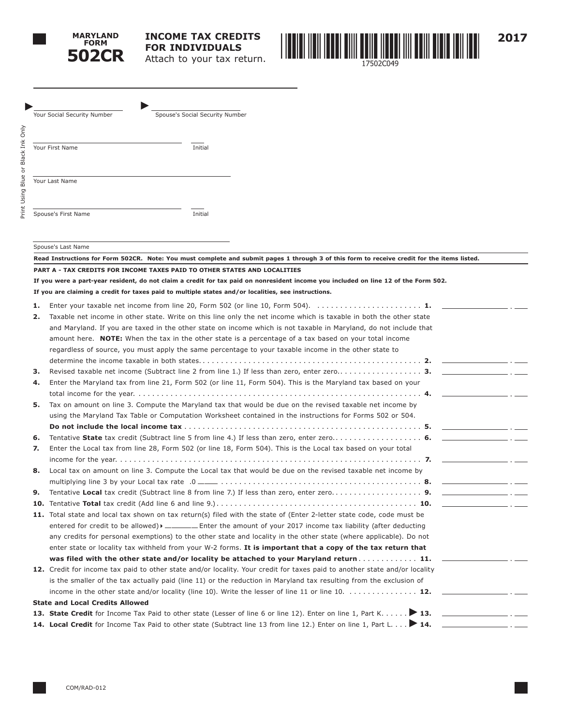

Print Using Blue or Black Ink Only

Print Using

Blue or Black

Only Ě



**1.** Enter your taxable net income from line 20, Form 502 (or line 10, Form 504). . . **1. 2.** Taxable net income in other state. Write on this line only the net income which is taxable in both the other state and Maryland. If you are taxed in the other state on income which is not taxable in Maryland, do not include that amount here. **NOTE:** When the tax in the other state is a percentage of a tax based on your total income regardless of source, you must apply the same percentage to your taxable income in the other state to determine the income taxable in both states.. . . **2. 3.** Revised taxable net income (Subtract line 2 from line 1.) If less than zero, enter zero.. . . **3. 4.** Enter the Maryland tax from line 21, Form 502 (or line 11, Form 504). This is the Maryland tax based on your total income for the year.. . . **4. 5.** Tax on amount on line 3. Compute the Maryland tax that would be due on the revised taxable net income by using the Maryland Tax Table or Computation Worksheet contained in the instructions for Forms 502 or 504. **Do not include the local income tax**. . **5. 6.** Tentative **State** tax credit (Subtract line 5 from line 4.) If less than zero, enter zero.. . . **6. 7.** Enter the Local tax from line 28, Form 502 (or line 18, Form 504). This is the Local tax based on your total income for the year.. . **7. 8.** Local tax on amount on line 3. Compute the Local tax that would be due on the revised taxable net income by multiplying line 3 by your Local tax rate .0 . . **8. 9.** Tentative **Local** tax credit (Subtract line 8 from line 7.) If less than zero, enter zero.. . . **9. 10.** Tentative **Total** tax credit (Add line 6 and line 9.). . . **10.** 11. Total state and local tax shown on tax return(s) filed with the state of (Enter 2-letter state code, code must be entered for credit to be allowed) Enter the amount of your 2017 income tax liability (after deducting any credits for personal exemptions) to the other state and locality in the other state (where applicable). Do not enter state or locality tax withheld from your W-2 forms. **It is important that a copy of the tax return that was filed with the other state and/or locality be attached to your Maryland return**. . **11. 12.** Credit for income tax paid to other state and/or locality. Your credit for taxes paid to another state and/or locality is the smaller of the tax actually paid (line 11) or the reduction in Maryland tax resulting from the exclusion of income in the other state and/or locality (line 10). Write the lesser of line 11 or line 10. . . . . . . . . . . . . . . 12. **State and Local Credits Allowed** 13. **State Credit** for Income Tax Paid to other state (Lesser of line 6 or line 12). Enter on line 1, Part K. . . . . . > 13. **14. Local Credit** for Income Tax Paid to other state (Subtract line 13 from line 12.) Enter on line 1, Part L. . . **14. Read Instructions for Form 502CR. Note: You must complete and submit pages 1 through 3 of this form to receive credit for the items listed. PART A - TAX CREDITS FOR INCOME TAXES PAID TO OTHER STATES AND LOCALITIES If you were a part-year resident, do not claim a credit for tax paid on nonresident income you included on line 12 of the Form 502. If you are claiming a credit for taxes paid to multiple states and/or localities, see instructions.** Your Social Security Number Spouse's Social Security Number Your First Name **Initial** Your Last Name Spouse's First Name **Initial** Spouse's Last Name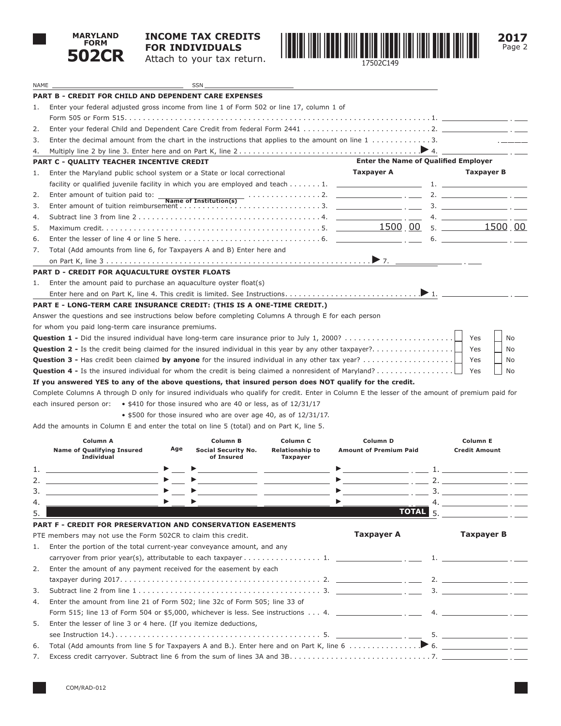

## **INCOME TAX CREDITS FOR INDIVIDUALS** Attach to your tax return.



| NAME |                                                                                                                                                  |     | <b>SSN</b>                                                     |                                    |                                                                                                               |    |                                                                                                                                                                                                                                                                                                                        |
|------|--------------------------------------------------------------------------------------------------------------------------------------------------|-----|----------------------------------------------------------------|------------------------------------|---------------------------------------------------------------------------------------------------------------|----|------------------------------------------------------------------------------------------------------------------------------------------------------------------------------------------------------------------------------------------------------------------------------------------------------------------------|
|      | <b>PART B - CREDIT FOR CHILD AND DEPENDENT CARE EXPENSES</b>                                                                                     |     |                                                                |                                    |                                                                                                               |    |                                                                                                                                                                                                                                                                                                                        |
| 1.   | Enter your federal adjusted gross income from line 1 of Form 502 or line 17, column 1 of                                                         |     |                                                                |                                    |                                                                                                               |    |                                                                                                                                                                                                                                                                                                                        |
|      |                                                                                                                                                  |     |                                                                |                                    |                                                                                                               |    |                                                                                                                                                                                                                                                                                                                        |
| 2.   |                                                                                                                                                  |     |                                                                |                                    |                                                                                                               |    |                                                                                                                                                                                                                                                                                                                        |
| 3.   | Enter the decimal amount from the chart in the instructions that applies to the amount on line $1, \ldots, \ldots, 3$ .                          |     |                                                                |                                    |                                                                                                               |    |                                                                                                                                                                                                                                                                                                                        |
| 4.   |                                                                                                                                                  |     |                                                                |                                    |                                                                                                               |    |                                                                                                                                                                                                                                                                                                                        |
|      | <b>PART C - QUALITY TEACHER INCENTIVE CREDIT</b>                                                                                                 |     |                                                                |                                    | <b>Enter the Name of Qualified Employer</b>                                                                   |    |                                                                                                                                                                                                                                                                                                                        |
| 1.   | Enter the Maryland public school system or a State or local correctional                                                                         |     |                                                                |                                    | Taxpayer A                                                                                                    |    | Taxpayer B                                                                                                                                                                                                                                                                                                             |
|      |                                                                                                                                                  |     |                                                                |                                    |                                                                                                               |    |                                                                                                                                                                                                                                                                                                                        |
| 2.   |                                                                                                                                                  |     |                                                                |                                    |                                                                                                               |    |                                                                                                                                                                                                                                                                                                                        |
| 3.   |                                                                                                                                                  |     |                                                                |                                    |                                                                                                               |    |                                                                                                                                                                                                                                                                                                                        |
| 4.   |                                                                                                                                                  |     |                                                                |                                    |                                                                                                               |    | 4. $\frac{1}{2}$ $\frac{1}{2}$ $\frac{1}{2}$ $\frac{1}{2}$ $\frac{1}{2}$ $\frac{1}{2}$ $\frac{1}{2}$ $\frac{1}{2}$ $\frac{1}{2}$ $\frac{1}{2}$ $\frac{1}{2}$ $\frac{1}{2}$ $\frac{1}{2}$ $\frac{1}{2}$ $\frac{1}{2}$ $\frac{1}{2}$ $\frac{1}{2}$ $\frac{1}{2}$ $\frac{1}{2}$ $\frac{1}{2}$ $\frac{1}{2}$ $\frac{1}{2}$ |
| 5.   |                                                                                                                                                  |     |                                                                |                                    |                                                                                                               |    |                                                                                                                                                                                                                                                                                                                        |
| 6.   | Enter the lesser of line 4 or line 5 here. $\ldots \ldots \ldots \ldots \ldots \ldots \ldots \ldots \ldots$ . 6.                                 |     |                                                                |                                    |                                                                                                               |    |                                                                                                                                                                                                                                                                                                                        |
| 7.   | Total (Add amounts from line 6, for Taxpayers A and B) Enter here and                                                                            |     |                                                                |                                    |                                                                                                               |    |                                                                                                                                                                                                                                                                                                                        |
|      |                                                                                                                                                  |     |                                                                |                                    |                                                                                                               |    |                                                                                                                                                                                                                                                                                                                        |
|      | PART D - CREDIT FOR AQUACULTURE OYSTER FLOATS                                                                                                    |     |                                                                |                                    |                                                                                                               |    |                                                                                                                                                                                                                                                                                                                        |
| 1.   | Enter the amount paid to purchase an aquaculture oyster float(s)                                                                                 |     |                                                                |                                    |                                                                                                               |    |                                                                                                                                                                                                                                                                                                                        |
|      |                                                                                                                                                  |     |                                                                |                                    |                                                                                                               |    |                                                                                                                                                                                                                                                                                                                        |
|      | PART E - LONG-TERM CARE INSURANCE CREDIT: (THIS IS A ONE-TIME CREDIT.)                                                                           |     |                                                                |                                    |                                                                                                               |    |                                                                                                                                                                                                                                                                                                                        |
|      | Answer the questions and see instructions below before completing Columns A through E for each person                                            |     |                                                                |                                    |                                                                                                               |    |                                                                                                                                                                                                                                                                                                                        |
|      | for whom you paid long-term care insurance premiums.                                                                                             |     |                                                                |                                    |                                                                                                               |    |                                                                                                                                                                                                                                                                                                                        |
|      | Question 1 - Did the insured individual have long-term care insurance prior to July 1, 2000?                                                     |     |                                                                |                                    |                                                                                                               |    | Yes<br>No                                                                                                                                                                                                                                                                                                              |
|      | <b>Question 2 -</b> Is the credit being claimed for the insured individual in this year by any other taxpayer?                                   |     |                                                                |                                    |                                                                                                               |    | Yes<br>No                                                                                                                                                                                                                                                                                                              |
|      |                                                                                                                                                  |     |                                                                |                                    |                                                                                                               |    | Yes<br>No                                                                                                                                                                                                                                                                                                              |
|      | <b>Question 4 -</b> Is the insured individual for whom the credit is being claimed a nonresident of Maryland?                                    |     |                                                                |                                    |                                                                                                               |    | Yes<br>No                                                                                                                                                                                                                                                                                                              |
|      | If you answered YES to any of the above questions, that insured person does NOT qualify for the credit.                                          |     |                                                                |                                    |                                                                                                               |    |                                                                                                                                                                                                                                                                                                                        |
|      | Complete Columns A through D only for insured individuals who qualify for credit. Enter in Column E the lesser of the amount of premium paid for |     |                                                                |                                    |                                                                                                               |    |                                                                                                                                                                                                                                                                                                                        |
|      | each insured person or: $\bullet$ \$410 for those insured who are 40 or less, as of 12/31/17                                                     |     |                                                                |                                    |                                                                                                               |    |                                                                                                                                                                                                                                                                                                                        |
|      |                                                                                                                                                  |     | • \$500 for those insured who are over age 40, as of 12/31/17. |                                    |                                                                                                               |    |                                                                                                                                                                                                                                                                                                                        |
|      | Add the amounts in Column E and enter the total on line 5 (total) and on Part K, line 5.                                                         |     |                                                                |                                    |                                                                                                               |    |                                                                                                                                                                                                                                                                                                                        |
|      | Column A                                                                                                                                         |     | Column B                                                       |                                    | Column D                                                                                                      |    | Column E                                                                                                                                                                                                                                                                                                               |
|      | <b>Name of Qualifying Insured</b>                                                                                                                | Age | Social Security No.                                            | Column C<br><b>Relationship to</b> | <b>Amount of Premium Paid</b>                                                                                 |    | <b>Credit Amount</b>                                                                                                                                                                                                                                                                                                   |
|      | <b>Individual</b>                                                                                                                                |     | of Insured                                                     | <b>Taxpayer</b>                    |                                                                                                               |    |                                                                                                                                                                                                                                                                                                                        |
| 1.   |                                                                                                                                                  |     |                                                                |                                    |                                                                                                               |    |                                                                                                                                                                                                                                                                                                                        |
| 2.   |                                                                                                                                                  |     |                                                                |                                    | $\frac{1}{2}$ . $\frac{1}{2}$ . $\frac{1}{2}$ . $\frac{1}{2}$ . $\frac{1}{2}$ . $\frac{1}{2}$ . $\frac{1}{2}$ |    |                                                                                                                                                                                                                                                                                                                        |
| 3.   |                                                                                                                                                  |     |                                                                |                                    | ▶                                                                                                             |    |                                                                                                                                                                                                                                                                                                                        |
| 4.   |                                                                                                                                                  |     |                                                                |                                    |                                                                                                               | 4. | the control of the control of the control of                                                                                                                                                                                                                                                                           |
| 5.   |                                                                                                                                                  |     |                                                                |                                    | <b>TOTAL</b>                                                                                                  | 5. |                                                                                                                                                                                                                                                                                                                        |
|      | PART F - CREDIT FOR PRESERVATION AND CONSERVATION EASEMENTS                                                                                      |     |                                                                |                                    |                                                                                                               |    |                                                                                                                                                                                                                                                                                                                        |
|      | PTE members may not use the Form 502CR to claim this credit.                                                                                     |     |                                                                |                                    | <b>Taxpayer A</b>                                                                                             |    | <b>Taxpayer B</b>                                                                                                                                                                                                                                                                                                      |
| 1.   | Enter the portion of the total current-year conveyance amount, and any                                                                           |     |                                                                |                                    |                                                                                                               |    |                                                                                                                                                                                                                                                                                                                        |
|      | carryover from prior year(s), attributable to each taxpayer $\dots$ 1.                                                                           |     |                                                                |                                    |                                                                                                               |    | $1.$ The contract of $\mathbb{R}^n$ and $\mathbb{R}^n$                                                                                                                                                                                                                                                                 |
| 2.   | Enter the amount of any payment received for the easement by each                                                                                |     |                                                                |                                    |                                                                                                               |    |                                                                                                                                                                                                                                                                                                                        |
|      |                                                                                                                                                  |     |                                                                |                                    |                                                                                                               |    |                                                                                                                                                                                                                                                                                                                        |
| 3.   |                                                                                                                                                  |     |                                                                |                                    |                                                                                                               |    | 3.                                                                                                                                                                                                                                                                                                                     |
| 4.   | Enter the amount from line 21 of Form 502; line 32c of Form 505; line 33 of                                                                      |     |                                                                |                                    |                                                                                                               |    |                                                                                                                                                                                                                                                                                                                        |
|      |                                                                                                                                                  |     |                                                                |                                    |                                                                                                               |    |                                                                                                                                                                                                                                                                                                                        |
| 5.   | Enter the lesser of line 3 or 4 here. (If you itemize deductions,                                                                                |     |                                                                |                                    |                                                                                                               |    |                                                                                                                                                                                                                                                                                                                        |
|      |                                                                                                                                                  |     |                                                                |                                    |                                                                                                               |    |                                                                                                                                                                                                                                                                                                                        |

| $J$ . Line the resser of fine $J$ or $\tau$ field. (If you hermal deductions, |  |
|-------------------------------------------------------------------------------|--|
|                                                                               |  |
|                                                                               |  |
|                                                                               |  |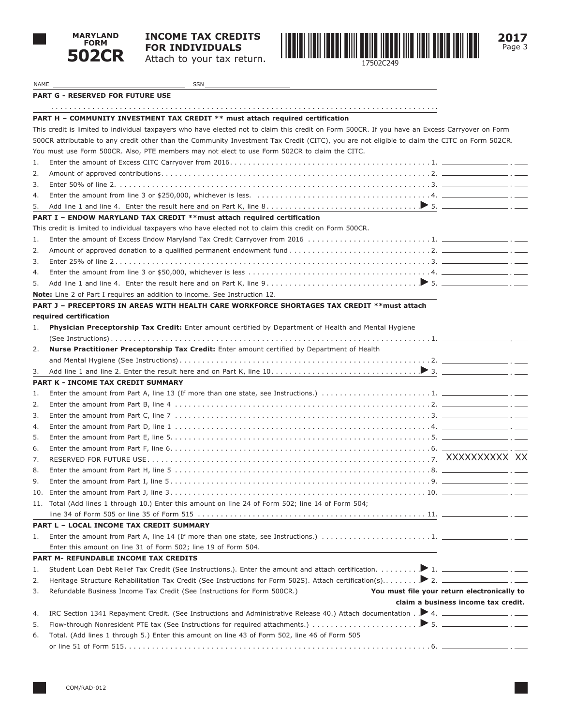



| NAME | SSN                                                                                                                                             |                                             |  |
|------|-------------------------------------------------------------------------------------------------------------------------------------------------|---------------------------------------------|--|
|      | <b>PART G - RESERVED FOR FUTURE USE</b>                                                                                                         |                                             |  |
|      |                                                                                                                                                 |                                             |  |
|      | PART H - COMMUNITY INVESTMENT TAX CREDIT ** must attach required certification                                                                  |                                             |  |
|      | This credit is limited to individual taxpayers who have elected not to claim this credit on Form 500CR. If you have an Excess Carryover on Form |                                             |  |
|      | 500CR attributable to any credit other than the Community Investment Tax Credit (CITC), you are not eligible to claim the CITC on Form 502CR.   |                                             |  |
|      | You must use Form 500CR. Also, PTE members may not elect to use Form 502CR to claim the CITC.                                                   |                                             |  |
| 1.   |                                                                                                                                                 |                                             |  |
| 2.   |                                                                                                                                                 |                                             |  |
| 3.   |                                                                                                                                                 |                                             |  |
| 4.   |                                                                                                                                                 |                                             |  |
| 5.   |                                                                                                                                                 |                                             |  |
|      | PART I - ENDOW MARYLAND TAX CREDIT ** must attach required certification                                                                        |                                             |  |
|      | This credit is limited to individual taxpayers who have elected not to claim this credit on Form 500CR.                                         |                                             |  |
| 1.   |                                                                                                                                                 |                                             |  |
| 2.   |                                                                                                                                                 |                                             |  |
| 3.   |                                                                                                                                                 |                                             |  |
| 4.   |                                                                                                                                                 |                                             |  |
| 5.   |                                                                                                                                                 |                                             |  |
|      | <b>Note:</b> Line 2 of Part I requires an addition to income. See Instruction 12.                                                               |                                             |  |
|      | PART J - PRECEPTORS IN AREAS WITH HEALTH CARE WORKFORCE SHORTAGES TAX CREDIT **must attach                                                      |                                             |  |
|      | required certification                                                                                                                          |                                             |  |
| 1.   | Physician Preceptorship Tax Credit: Enter amount certified by Department of Health and Mental Hygiene                                           |                                             |  |
|      |                                                                                                                                                 |                                             |  |
| 2.   | Nurse Practitioner Preceptorship Tax Credit: Enter amount certified by Department of Health                                                     |                                             |  |
|      |                                                                                                                                                 |                                             |  |
| 3.   |                                                                                                                                                 |                                             |  |
|      | PART K - INCOME TAX CREDIT SUMMARY                                                                                                              |                                             |  |
| 1.   |                                                                                                                                                 |                                             |  |
| 2.   |                                                                                                                                                 |                                             |  |
| 3.   |                                                                                                                                                 |                                             |  |
| 4.   |                                                                                                                                                 |                                             |  |
| 5.   |                                                                                                                                                 |                                             |  |
| 6.   |                                                                                                                                                 |                                             |  |
| 7.   |                                                                                                                                                 |                                             |  |
| 8.   |                                                                                                                                                 |                                             |  |
| 9.   |                                                                                                                                                 |                                             |  |
|      |                                                                                                                                                 |                                             |  |
|      | 11. Total (Add lines 1 through 10.) Enter this amount on line 24 of Form 502; line 14 of Form 504;                                              |                                             |  |
|      |                                                                                                                                                 |                                             |  |
|      | PART L - LOCAL INCOME TAX CREDIT SUMMARY                                                                                                        |                                             |  |
| 1.   |                                                                                                                                                 |                                             |  |
|      | Enter this amount on line 31 of Form 502; line 19 of Form 504.                                                                                  |                                             |  |
|      | PART M- REFUNDABLE INCOME TAX CREDITS                                                                                                           |                                             |  |
| 1.   |                                                                                                                                                 |                                             |  |
| 2.   |                                                                                                                                                 |                                             |  |
| 3.   | Refundable Business Income Tax Credit (See Instructions for Form 500CR.)                                                                        | You must file your return electronically to |  |
|      |                                                                                                                                                 | claim a business income tax credit.         |  |
| 4.   |                                                                                                                                                 |                                             |  |
| 5.   |                                                                                                                                                 |                                             |  |
| 6.   | Total. (Add lines 1 through 5.) Enter this amount on line 43 of Form 502, line 46 of Form 505                                                   |                                             |  |

or line 51 of Form 515. . 6.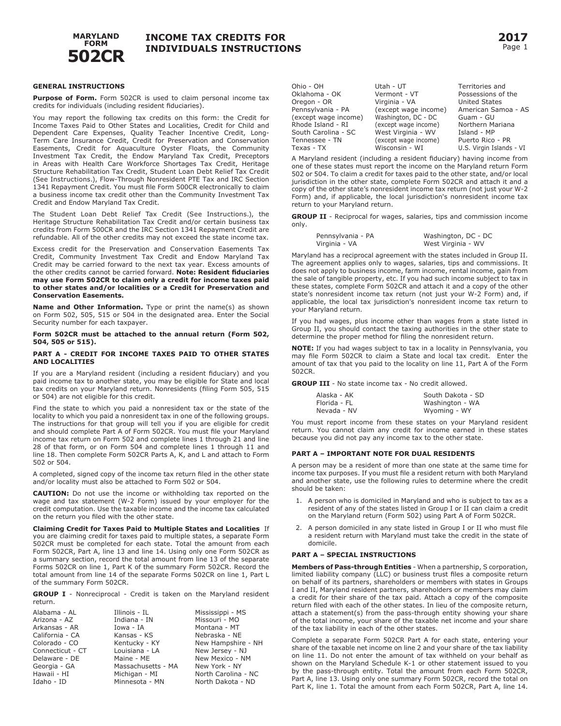

Ohio - OH  $\Omega$ 

#### **GENERAL INSTRUCTIONS**

**Purpose of Form.** Form 502CR is used to claim personal income tax credits for individuals (including resident fiduciaries).

You may report the following tax credits on this form: the Credit for Income Taxes Paid to Other States and Localities, Credit for Child and Dependent Care Expenses, Quality Teacher Incentive Credit, Long-Term Care Insurance Credit, Credit for Preservation and Conservation Easements, Credit for Aquaculture Oyster Floats, the Community Investment Tax Credit, the Endow Maryland Tax Credit, Preceptors in Areas with Health Care Workforce Shortages Tax Credit, Heritage Structure Rehabilitation Tax Credit, Student Loan Debt Relief Tax Credit (See Instructions.), Flow-Through Nonresident PTE Tax and IRC Section 1341 Repayment Credit. You must file Form 500CR electronically to claim a business income tax credit other than the Community Investment Tax Credit and Endow Maryland Tax Credit.

The Student Loan Debt Relief Tax Credit (See Instructions.), the Heritage Structure Rehabilitation Tax Credit and/or certain business tax credits from Form 500CR and the IRC Section 1341 Repayment Credit are refundable. All of the other credits may not exceed the state income tax.

Excess credit for the Preservation and Conservation Easements Tax Credit, Community Investment Tax Credit and Endow Maryland Tax Credit may be carried forward to the next tax year. Excess amounts of the other credits cannot be carried forward. **Note: Resident fiduciaries may use Form 502CR to claim only a credit for income taxes paid to other states and/or localities or a Credit for Preservation and Conservation Easements.** 

**Name and Other Information.** Type or print the name(s) as shown on Form 502, 505, 515 or 504 in the designated area. Enter the Social Security number for each taxpayer.

#### **Form 502CR must be attached to the annual return (Form 502, 504, 505 or 515).**

#### **PART A - CREDIT FOR INCOME TAXES PAID TO OTHER STATES AND LOCALITIES**

If you are a Maryland resident (including a resident fiduciary) and you paid income tax to another state, you may be eligible for State and local tax credits on your Maryland return. Nonresidents (filing Form 505, 515 or 504) are not eligible for this credit.

Find the state to which you paid a nonresident tax or the state of the locality to which you paid a nonresident tax in one of the following groups. The instructions for that group will tell you if you are eligible for credit and should complete Part A of Form 502CR. You must file your Maryland income tax return on Form 502 and complete lines 1 through 21 and line 28 of that form, or on Form 504 and complete lines 1 through 11 and line 18. Then complete Form 502CR Parts A, K, and L and attach to Form 502 or 504.

A completed, signed copy of the income tax return filed in the other state and/or locality must also be attached to Form 502 or 504.

**CAUTION:** Do not use the income or withholding tax reported on the wage and tax statement (W-2 Form) issued by your employer for the credit computation. Use the taxable income and the income tax calculated on the return you filed with the other state.

**Claiming Credit for Taxes Paid to Multiple States and Localities** If you are claiming credit for taxes paid to multiple states, a separate Form 502CR must be completed for each state. Total the amount from each Form 502CR, Part A, line 13 and line 14. Using only one Form 502CR as a summary section, record the total amount from line 13 of the separate Forms 502CR on line 1, Part K of the summary Form 502CR. Record the total amount from line 14 of the separate Forms 502CR on line 1, Part L of the summary Form 502CR.

**GROUP I** - Nonreciprocal - Credit is taken on the Maryland resident return.

| Alabama - AL     | Illinois - IL      | Mississippi - MS    |
|------------------|--------------------|---------------------|
| Arizona - AZ     | Indiana - IN       | Missouri - MO       |
| Arkansas - AR    | Iowa - IA          | Montana - MT        |
| California - CA  | Kansas - KS        | Nebraska - NE       |
| Colorado - CO    | Kentucky - KY      | New Hampshire - NH  |
| Connecticut - CT | Louisiana - LA     | New Jersey - NJ     |
| Delaware - DE    | Maine - ME         | New Mexico - NM     |
| Georgia - GA     | Massachusetts - MA | New York - NY       |
| Hawaii - HI      | Michigan - MI      | North Carolina - NC |
| Idaho - ID       | Minnesota - MN     | North Dakota - ND   |

| ۱Æ | Territories and<br>Possessions of the |
|----|---------------------------------------|

| Oklahoma - OK        | Vermont - VT         | Possessions of the       |
|----------------------|----------------------|--------------------------|
| Oregon - OR          | Virginia - VA        | <b>United States</b>     |
| Pennsylvania - PA    | (except wage income) | American Samoa - AS      |
| (except wage income) | Washington, DC - DC  | Guam - GU                |
| Rhode Island - RI    | (except wage income) | Northern Mariana         |
| South Carolina - SC  | West Virginia - WV   | Island - MP              |
| Tennessee - TN       | (except wage income) | Puerto Rico - PR         |
| Texas - TX           | Wisconsin - WI       | U.S. Virgin Islands - VI |
|                      |                      |                          |

Utah - UT

A Maryland resident (including a resident fiduciary) having income from one of these states must report the income on the Maryland return Form 502 or 504. To claim a credit for taxes paid to the other state, and/or local jurisdiction in the other state, complete Form 502CR and attach it and a copy of the other state's nonresident income tax return (not just your W-2 Form) and, if applicable, the local jurisdiction's nonresident income tax return to your Maryland return.

**GROUP II** - Reciprocal for wages, salaries, tips and commission income only.

| Pennsylvania - PA | Washington, DC - DC |
|-------------------|---------------------|
| Virginia - VA     | West Virginia - WV  |

Maryland has a reciprocal agreement with the states included in Group II. The agreement applies only to wages, salaries, tips and commissions. It does not apply to business income, farm income, rental income, gain from the sale of tangible property, etc. If you had such income subject to tax in these states, complete Form 502CR and attach it and a copy of the other state's nonresident income tax return (not just your W-2 Form) and, if applicable, the local tax jurisdiction's nonresident income tax return to your Maryland return.

If you had wages, plus income other than wages from a state listed in Group II, you should contact the taxing authorities in the other state to determine the proper method for filing the nonresident return.

**NOTE:** If you had wages subject to tax in a locality in Pennsylvania, you may file Form 502CR to claim a State and local tax credit. Enter the amount of tax that you paid to the locality on line 11, Part A of the Form 502CR.

**GROUP III** - No state income tax - No credit allowed.

| Alaska - AK  | South Dakota - SD |
|--------------|-------------------|
| Florida - FL | Washington - WA   |
| Nevada - NV  | Wyoming - WY      |

You must report income from these states on your Maryland resident return. You cannot claim any credit for income earned in these states because you did not pay any income tax to the other state.

#### **PART A – IMPORTANT NOTE FOR DUAL RESIDENTS**

A person may be a resident of more than one state at the same time for income tax purposes. If you must file a resident return with both Maryland and another state, use the following rules to determine where the credit should be taken:

- 1. A person who is domiciled in Maryland and who is subject to tax as a resident of any of the states listed in Group I or II can claim a credit on the Maryland return (Form 502) using Part A of Form 502CR.
- 2. A person domiciled in any state listed in Group I or II who must file a resident return with Maryland must take the credit in the state of domicile.

#### **PART A – SPECIAL INSTRUCTIONS**

**Members of Pass-through Entities** - When a partnership, S corporation, limited liability company (LLC) or business trust files a composite return on behalf of its partners, shareholders or members with states in Groups I and II, Maryland resident partners, shareholders or members may claim a credit for their share of the tax paid. Attach a copy of the composite return filed with each of the other states. In lieu of the composite return, attach a statement(s) from the pass-through entity showing your share of the total income, your share of the taxable net income and your share of the tax liability in each of the other states.

Complete a separate Form 502CR Part A for each state, entering your share of the taxable net income on line 2 and your share of the tax liability on line 11. Do not enter the amount of tax withheld on your behalf as shown on the Maryland Schedule K-1 or other statement issued to you by the pass-through entity. Total the amount from each Form 502CR, Part A, line 13. Using only one summary Form 502CR, record the total on Part K, line 1. Total the amount from each Form 502CR, Part A, line 14.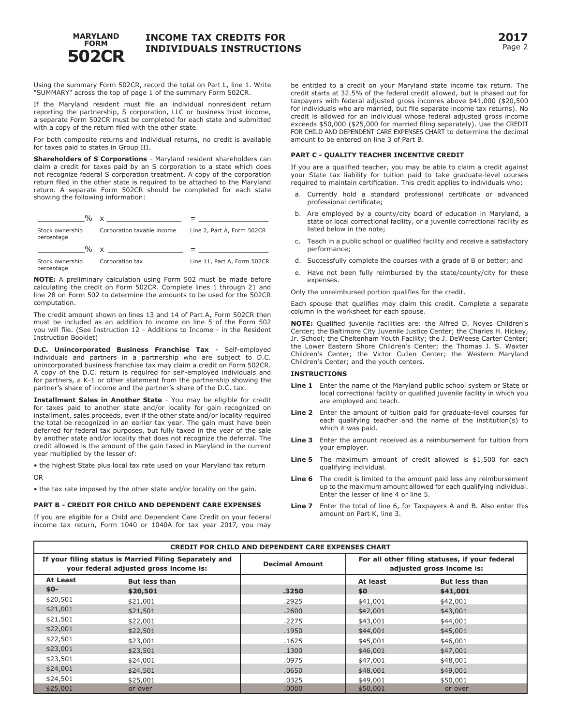

Using the summary Form 502CR, record the total on Part L, line 1. Write "SUMMARY" across the top of page 1 of the summary Form 502CR.

If the Maryland resident must file an individual nonresident return reporting the partnership, S corporation, LLC or business trust income, a separate Form 502CR must be completed for each state and submitted with a copy of the return filed with the other state.

For both composite returns and individual returns, no credit is available for taxes paid to states in Group III.

**Shareholders of S Corporations** - Maryland resident shareholders can claim a credit for taxes paid by an S corporation to a state which does not recognize federal S corporation treatment. A copy of the corporation return filed in the other state is required to be attached to the Maryland return. A separate Form 502CR should be completed for each state showing the following information:



**NOTE:** A preliminary calculation using Form 502 must be made before calculating the credit on Form 502CR. Complete lines 1 through 21 and line 28 on Form 502 to determine the amounts to be used for the 502CR computation.

The credit amount shown on lines 13 and 14 of Part A, Form 502CR then must be included as an addition to income on line 5 of the Form 502 you will file. (See Instruction 12 - Additions to Income - in the Resident Instruction Booklet)

**D.C. Unincorporated Business Franchise Tax** - Self-employed individuals and partners in a partnership who are subject to D.C. unincorporated business franchise tax may claim a credit on Form 502CR. A copy of the D.C. return is required for self-employed individuals and for partners, a K-1 or other statement from the partnership showing the partner's share of income and the partner's share of the D.C. tax.

**Installment Sales in Another State** - You may be eligible for credit for taxes paid to another state and/or locality for gain recognized on installment, sales proceeds, even if the other state and/or locality required the total be recognized in an earlier tax year. The gain must have been deferred for federal tax purposes, but fully taxed in the year of the sale by another state and/or locality that does not recognize the deferral. The credit allowed is the amount of the gain taxed in Maryland in the current year multiplied by the lesser of:

• the highest State plus local tax rate used on your Maryland tax return OR

• the tax rate imposed by the other state and/or locality on the gain.

## **PART B - CREDIT FOR CHILD AND DEPENDENT CARE EXPENSES**

If you are eligible for a Child and Dependent Care Credit on your federal income tax return, Form 1040 or 1040A for tax year 2017, you may

be entitled to a credit on your Maryland state income tax return. The credit starts at 32.5% of the federal credit allowed, but is phased out for taxpayers with federal adjusted gross incomes above \$41,000 (\$20,500 for individuals who are married, but file separate income tax returns). No credit is allowed for an individual whose federal adjusted gross income exceeds \$50,000 (\$25,000 for married filing separately). Use the CREDIT FOR CHILD AND DEPENDENT CARE EXPENSES CHART to determine the decimal amount to be entered on line 3 of Part B.

## **PART C - QUALITY TEACHER INCENTIVE CREDIT**

If you are a qualified teacher, you may be able to claim a credit against your State tax liability for tuition paid to take graduate-level courses required to maintain certification. This credit applies to individuals who:

- a. Currently hold a standard professional certificate or advanced professional certificate;
- b. Are employed by a county/city board of education in Maryland, a state or local correctional facility, or a juvenile correctional facility as listed below in the note;
- c. Teach in a public school or qualified facility and receive a satisfactory performance;
- d. Successfully complete the courses with a grade of B or better; and
- e. Have not been fully reimbursed by the state/county/city for these expenses.

Only the unreimbursed portion qualifies for the credit.

Each spouse that qualifies may claim this credit. Complete a separate column in the worksheet for each spouse.

**NOTE:** Qualified juvenile facilities are: the Alfred D. Noyes Children's Center; the Baltimore City Juvenile Justice Center; the Charles H. Hickey, Jr. School; the Cheltenham Youth Facility; the J. DeWeese Carter Center; the Lower Eastern Shore Children's Center; the Thomas J. S. Waxter Children's Center; the Victor Cullen Center; the Western Maryland Children's Center; and the youth centers.

## **INSTRUCTIONS**

- **Line 1** Enter the name of the Maryland public school system or State or local correctional facility or qualified juvenile facility in which you are employed and teach.
- **Line 2** Enter the amount of tuition paid for graduate-level courses for each qualifying teacher and the name of the institution(s) to which it was paid.
- **Line 3** Enter the amount received as a reimbursement for tuition from your employer.
- **Line 5** The maximum amount of credit allowed is \$1,500 for each qualifying individual.
- **Line 6** The credit is limited to the amount paid less any reimbursement up to the maximum amount allowed for each qualifying individual. Enter the lesser of line 4 or line 5.
- **Line 7** Enter the total of line 6, for Taxpayers A and B. Also enter this amount on Part K, line 3.

| <b>CREDIT FOR CHILD AND DEPENDENT CARE EXPENSES CHART</b> |                                                                                                  |                       |          |                                                                             |  |  |
|-----------------------------------------------------------|--------------------------------------------------------------------------------------------------|-----------------------|----------|-----------------------------------------------------------------------------|--|--|
|                                                           | If your filing status is Married Filing Separately and<br>your federal adjusted gross income is: | <b>Decimal Amount</b> |          | For all other filing statuses, if your federal<br>adjusted gross income is: |  |  |
| At Least                                                  | <b>But less than</b>                                                                             |                       | At least | <b>But less than</b>                                                        |  |  |
| $$0-$                                                     | \$20,501                                                                                         | .3250                 | \$0      | \$41,001                                                                    |  |  |
| \$20,501                                                  | \$21,001                                                                                         | .2925                 | \$41,001 | \$42,001                                                                    |  |  |
| \$21,001                                                  | \$21,501                                                                                         | .2600                 | \$42,001 | \$43,001                                                                    |  |  |
| \$21,501                                                  | \$22,001                                                                                         | .2275                 | \$43,001 | \$44,001                                                                    |  |  |
| \$22,001                                                  | \$22,501                                                                                         | .1950                 | \$44,001 | \$45,001                                                                    |  |  |
| \$22,501                                                  | \$23,001                                                                                         | .1625                 | \$45,001 | \$46,001                                                                    |  |  |
| \$23,001                                                  | \$23,501                                                                                         | .1300                 | \$46,001 | \$47,001                                                                    |  |  |
| \$23,501                                                  | \$24,001                                                                                         | .0975                 | \$47,001 | \$48,001                                                                    |  |  |
| \$24,001                                                  | \$24,501                                                                                         | .0650                 | \$48,001 | \$49,001                                                                    |  |  |
| \$24,501                                                  | \$25,001                                                                                         | .0325                 | \$49,001 | \$50,001                                                                    |  |  |
| \$25,001                                                  | or over                                                                                          | .0000                 | \$50,001 | or over                                                                     |  |  |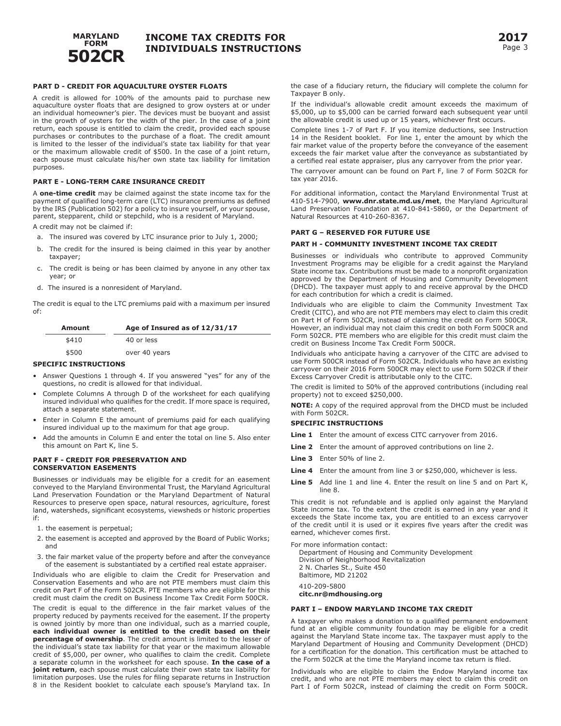

## **PART D - CREDIT FOR AQUACULTURE OYSTER FLOATS**

A credit is allowed for 100% of the amounts paid to purchase new aquaculture oyster floats that are designed to grow oysters at or under an individual homeowner's pier. The devices must be buoyant and assist in the growth of oysters for the width of the pier. In the case of a joint return, each spouse is entitled to claim the credit, provided each spouse purchases or contributes to the purchase of a float. The credit amount is limited to the lesser of the individual's state tax liability for that year or the maximum allowable credit of \$500. In the case of a joint return, each spouse must calculate his/her own state tax liability for limitation purposes.

### **PART E - LONG-TERM CARE INSURANCE CREDIT**

A **one-time credit** may be claimed against the state income tax for the payment of qualified long-term care (LTC) insurance premiums as defined by the IRS (Publication 502) for a policy to insure yourself, or your spouse, parent, stepparent, child or stepchild, who is a resident of Maryland.

A credit may not be claimed if:

- a. The insured was covered by LTC insurance prior to July 1, 2000;
- b. The credit for the insured is being claimed in this year by another taxpayer;
- c. The credit is being or has been claimed by anyone in any other tax year; or
- d. The insured is a nonresident of Maryland.

The credit is equal to the LTC premiums paid with a maximum per insured of:

| Amount | Age of Insured as of 12/31/17 |
|--------|-------------------------------|
| \$410  | 40 or less                    |
| \$500  | over 40 years                 |

## **SPECIFIC INSTRUCTIONS**

- Answer Questions 1 through 4. If you answered "yes" for any of the questions, no credit is allowed for that individual.
- Complete Columns A through D of the worksheet for each qualifying insured individual who qualifies for the credit. If more space is required, attach a separate statement.
- Enter in Column E the amount of premiums paid for each qualifying insured individual up to the maximum for that age group.
- Add the amounts in Column E and enter the total on line 5. Also enter this amount on Part K, line 5.

## **PART F - CREDIT FOR PRESERVATION AND CONSERVATION EASEMENTS**

Businesses or individuals may be eligible for a credit for an easement conveyed to the Maryland Environmental Trust, the Maryland Agricultural Land Preservation Foundation or the Maryland Department of Natural Resources to preserve open space, natural resources, agriculture, forest land, watersheds, significant ecosystems, viewsheds or historic properties if:

- 1. the easement is perpetual;
- 2. the easement is accepted and approved by the Board of Public Works; and
- 3. the fair market value of the property before and after the conveyance of the easement is substantiated by a certified real estate appraiser.

Individuals who are eligible to claim the Credit for Preservation and Conservation Easements and who are not PTE members must claim this credit on Part F of the Form 502CR. PTE members who are eligible for this credit must claim the credit on Business Income Tax Credit Form 500CR.

The credit is equal to the difference in the fair market values of the property reduced by payments received for the easement. If the property is owned jointly by more than one individual, such as a married couple, **each individual owner is entitled to the credit based on their percentage of ownership**. The credit amount is limited to the lesser of the individual's state tax liability for that year or the maximum allowable credit of \$5,000, per owner, who qualifies to claim the credit. Complete a separate column in the worksheet for each spouse. **In the case of a joint return**, each spouse must calculate their own state tax liability for limitation purposes. Use the rules for filing separate returns in Instruction 8 in the Resident booklet to calculate each spouse's Maryland tax. In

the case of a fiduciary return, the fiduciary will complete the column for Taxpayer B only.

If the individual's allowable credit amount exceeds the maximum of \$5,000, up to \$5,000 can be carried forward each subsequent year until the allowable credit is used up or 15 years, whichever first occurs.

Complete lines 1-7 of Part F. If you itemize deductions, see Instruction 14 in the Resident booklet. For line 1, enter the amount by which the fair market value of the property before the conveyance of the easement exceeds the fair market value after the conveyance as substantiated by a certified real estate appraiser, plus any carryover from the prior year.

The carryover amount can be found on Part F, line 7 of Form 502CR for tax year 2016.

For additional information, contact the Maryland Environmental Trust at 410-514-7900, **www.dnr.state.md.us/met**, the Maryland Agricultural Land Preservation Foundation at 410-841-5860, or the Department of Natural Resources at 410-260-8367.

### **PART G – RESERVED FOR FUTURE USE**

#### **PART H - COMMUNITY INVESTMENT INCOME TAX CREDIT**

Businesses or individuals who contribute to approved Community Investment Programs may be eligible for a credit against the Maryland State income tax. Contributions must be made to a nonprofit organization approved by the Department of Housing and Community Development (DHCD). The taxpayer must apply to and receive approval by the DHCD for each contribution for which a credit is claimed.

Individuals who are eligible to claim the Community Investment Tax Credit (CITC), and who are not PTE members may elect to claim this credit on Part H of Form 502CR, instead of claiming the credit on Form 500CR. However, an individual may not claim this credit on both Form 500CR and Form 502CR. PTE members who are eligible for this credit must claim the credit on Business Income Tax Credit Form 500CR.

Individuals who anticipate having a carryover of the CITC are advised to use Form 500CR instead of Form 502CR. Individuals who have an existing carryover on their 2016 Form 500CR may elect to use Form 502CR if their Excess Carryover Credit is attributable only to the CITC.

The credit is limited to 50% of the approved contributions (including real property) not to exceed \$250,000.

**NOTE:** A copy of the required approval from the DHCD must be included with Form 502CR.

## **SPECIFIC INSTRUCTIONS**

- **Line 1** Enter the amount of excess CITC carryover from 2016.
- **Line 2** Enter the amount of approved contributions on line 2.
- **Line 3** Enter 50% of line 2.
- **Line 4** Enter the amount from line 3 or \$250,000, whichever is less.
- Line 5 Add line 1 and line 4. Enter the result on line 5 and on Part K, line 8.

This credit is not refundable and is applied only against the Maryland State income tax. To the extent the credit is earned in any year and it exceeds the State income tax, you are entitled to an excess carryover of the credit until it is used or it expires five years after the credit was earned, whichever comes first.

For more information contact:

Department of Housing and Community Development Division of Neighborhood Revitalization 2 N. Charles St., Suite 450 Baltimore, MD 21202 410-209-5800 **citc.nr@mdhousing.org**

#### **PART I – ENDOW MARYLAND INCOME TAX CREDIT**

A taxpayer who makes a donation to a qualified permanent endowment fund at an eligible community foundation may be eligible for a credit against the Maryland State income tax. The taxpayer must apply to the Maryland Department of Housing and Community Development (DHCD) for a certification for the donation. This certification must be attached to the Form 502CR at the time the Maryland income tax return is filed.

Individuals who are eligible to claim the Endow Maryland income tax credit, and who are not PTE members may elect to claim this credit on Part I of Form 502CR, instead of claiming the credit on Form 500CR.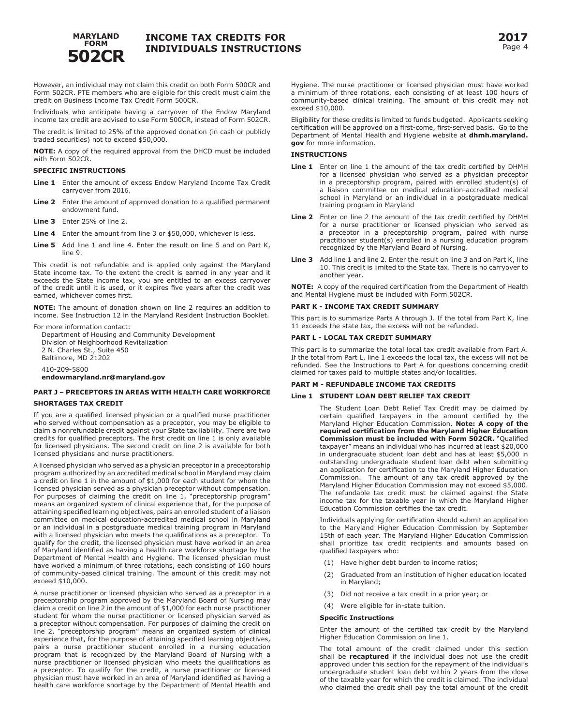

However, an individual may not claim this credit on both Form 500CR and Form 502CR. PTE members who are eligible for this credit must claim the credit on Business Income Tax Credit Form 500CR.

Individuals who anticipate having a carryover of the Endow Maryland income tax credit are advised to use Form 500CR, instead of Form 502CR.

The credit is limited to 25% of the approved donation (in cash or publicly traded securities) not to exceed \$50,000.

**NOTE:** A copy of the required approval from the DHCD must be included with Form 502CR.

## **SPECIFIC INSTRUCTIONS**

- Line 1 Enter the amount of excess Endow Maryland Income Tax Credit carryover from 2016.
- **Line 2** Enter the amount of approved donation to a qualified permanent endowment fund.
- **Line 3** Enter 25% of line 2.
- Line 4 Enter the amount from line 3 or \$50,000, whichever is less.
- **Line 5** Add line 1 and line 4. Enter the result on line 5 and on Part K, line 9.

This credit is not refundable and is applied only against the Maryland State income tax. To the extent the credit is earned in any year and it exceeds the State income tax, you are entitled to an excess carryover of the credit until it is used, or it expires five years after the credit was earned, whichever comes first.

**NOTE:** The amount of donation shown on line 2 requires an addition to income. See Instruction 12 in the Maryland Resident Instruction Booklet.

For more information contact:

Department of Housing and Community Development Division of Neighborhood Revitalization 2 N. Charles St., Suite 450 Baltimore, MD 21202 410-209-5800 **endowmaryland.nr@maryland.gov**

## **PART J – PRECEPTORS IN AREAS WITH HEALTH CARE WORKFORCE SHORTAGES TAX CREDIT**

If you are a qualified licensed physician or a qualified nurse practitioner who served without compensation as a preceptor, you may be eligible to claim a nonrefundable credit against your State tax liability. There are two credits for qualified preceptors. The first credit on line 1 is only available for licensed physicians. The second credit on line 2 is available for both licensed physicians and nurse practitioners.

A licensed physician who served as a physician preceptor in a preceptorship program authorized by an accredited medical school in Maryland may claim a credit on line 1 in the amount of \$1,000 for each student for whom the licensed physician served as a physician preceptor without compensation. For purposes of claiming the credit on line 1, "preceptorship program" means an organized system of clinical experience that, for the purpose of attaining specified learning objectives, pairs an enrolled student of a liaison committee on medical education-accredited medical school in Maryland or an individual in a postgraduate medical training program in Maryland with a licensed physician who meets the qualifications as a preceptor. To qualify for the credit, the licensed physician must have worked in an area of Maryland identified as having a health care workforce shortage by the Department of Mental Health and Hygiene. The licensed physician must have worked a minimum of three rotations, each consisting of 160 hours of community-based clinical training. The amount of this credit may not exceed \$10,000.

A nurse practitioner or licensed physician who served as a preceptor in a preceptorship program approved by the Maryland Board of Nursing may claim a credit on line 2 in the amount of \$1,000 for each nurse practitioner student for whom the nurse practitioner or licensed physician served as a preceptor without compensation. For purposes of claiming the credit on line 2, "preceptorship program" means an organized system of clinical experience that, for the purpose of attaining specified learning objectives, pairs a nurse practitioner student enrolled in a nursing education program that is recognized by the Maryland Board of Nursing with a nurse practitioner or licensed physician who meets the qualifications as a preceptor. To qualify for the credit, a nurse practitioner or licensed physician must have worked in an area of Maryland identified as having a health care workforce shortage by the Department of Mental Health and

Hygiene. The nurse practitioner or licensed physician must have worked a minimum of three rotations, each consisting of at least 100 hours of community-based clinical training. The amount of this credit may not exceed \$10,000.

Eligibility for these credits is limited to funds budgeted. Applicants seeking certification will be approved on a first-come, first-served basis. Go to the Department of Mental Health and Hygiene website at **dhmh.maryland. gov** for more information.

## **INSTRUCTIONS**

- Line 1 Enter on line 1 the amount of the tax credit certified by DHMH for a licensed physician who served as a physician preceptor in a preceptorship program, paired with enrolled student(s) of a liaison committee on medical education-accredited medical school in Maryland or an individual in a postgraduate medical training program in Maryland
- **Line 2** Enter on line 2 the amount of the tax credit certified by DHMH for a nurse practitioner or licensed physician who served as a preceptor in a preceptorship program, paired with nurse practitioner student(s) enrolled in a nursing education program recognized by the Maryland Board of Nursing.
- **Line 3** Add line 1 and line 2. Enter the result on line 3 and on Part K, line 10. This credit is limited to the State tax. There is no carryover to another year.

**NOTE:** A copy of the required certification from the Department of Health and Mental Hygiene must be included with Form 502CR.

### **PART K - INCOME TAX CREDIT SUMMARY**

This part is to summarize Parts A through J. If the total from Part K, line 11 exceeds the state tax, the excess will not be refunded.

#### **PART L - LOCAL TAX CREDIT SUMMARY**

This part is to summarize the total local tax credit available from Part A. If the total from Part L, line 1 exceeds the local tax, the excess will not be refunded. See the Instructions to Part A for questions concerning credit claimed for taxes paid to multiple states and/or localities.

## **PART M - REFUNDABLE INCOME TAX CREDITS**

## **Line 1 STUDENT LOAN DEBT RELIEF TAX CREDIT**

The Student Loan Debt Relief Tax Credit may be claimed by certain qualified taxpayers in the amount certified by the Maryland Higher Education Commission. **Note: A copy of the required certification from the Maryland Higher Education Commission must be included with Form 502CR.** "Qualified taxpayer" means an individual who has incurred at least \$20,000 in undergraduate student loan debt and has at least \$5,000 in outstanding undergraduate student loan debt when submitting an application for certification to the Maryland Higher Education Commission. The amount of any tax credit approved by the Maryland Higher Education Commission may not exceed \$5,000. The refundable tax credit must be claimed against the State income tax for the taxable year in which the Maryland Higher Education Commission certifies the tax credit.

Individuals applying for certification should submit an application to the Maryland Higher Education Commission by September 15th of each year. The Maryland Higher Education Commission shall prioritize tax credit recipients and amounts based on qualified taxpayers who:

- (1) Have higher debt burden to income ratios;
- (2) Graduated from an institution of higher education located in Maryland;
- (3) Did not receive a tax credit in a prior year; or
- (4) Were eligible for in-state tuition.

#### **Specific Instructions**

Enter the amount of the certified tax credit by the Maryland Higher Education Commission on line 1.

The total amount of the credit claimed under this section shall be **recaptured** if the individual does not use the credit approved under this section for the repayment of the individual's undergraduate student loan debt within 2 years from the close of the taxable year for which the credit is claimed. The individual who claimed the credit shall pay the total amount of the credit